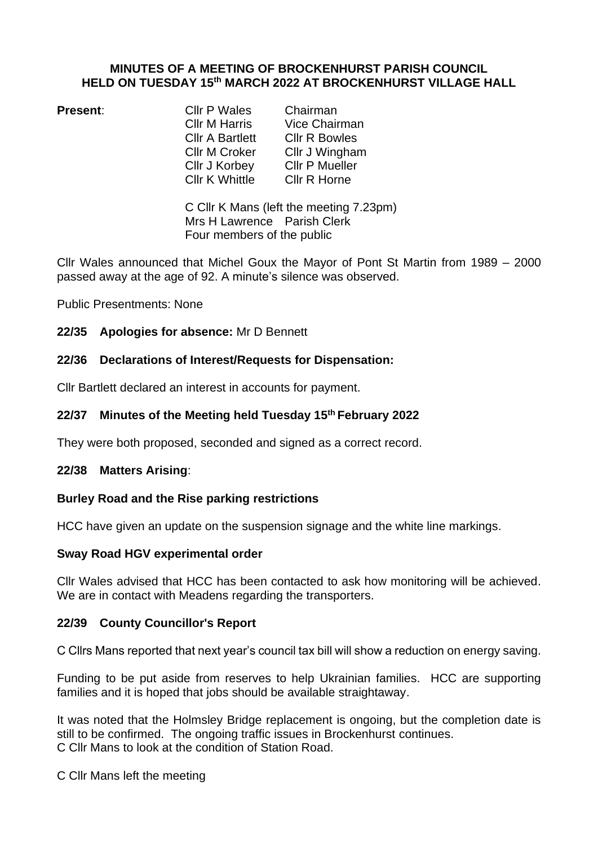### **MINUTES OF A MEETING OF BROCKENHURST PARISH COUNCIL HELD ON TUESDAY 15 th MARCH 2022 AT BROCKENHURST VILLAGE HALL**

**Present Chairman**<br>Cllr M Harris Cice Chair Cllr A Bartlett Cllr R Bowles Cllr M Croker Cllr J Wingham Cllr J Korbey Cllr P Mueller<br>Cllr K Whittle Cllr R Horne Cllr K Whittle

Vice Chairman

C Cllr K Mans (left the meeting 7.23pm) Mrs H Lawrence Parish Clerk Four members of the public

Cllr Wales announced that Michel Goux the Mayor of Pont St Martin from 1989 – 2000 passed away at the age of 92. A minute's silence was observed.

Public Presentments: None

**22/35 Apologies for absence:** Mr D Bennett

### **22/36 Declarations of Interest/Requests for Dispensation:**

Cllr Bartlett declared an interest in accounts for payment.

### **22/37 Minutes of the Meeting held Tuesday 15 th February 2022**

They were both proposed, seconded and signed as a correct record.

#### **22/38 Matters Arising**:

### **Burley Road and the Rise parking restrictions**

HCC have given an update on the suspension signage and the white line markings.

#### **Sway Road HGV experimental order**

Cllr Wales advised that HCC has been contacted to ask how monitoring will be achieved. We are in contact with Meadens regarding the transporters.

### **22/39 County Councillor's Report**

C Cllrs Mans reported that next year's council tax bill will show a reduction on energy saving.

Funding to be put aside from reserves to help Ukrainian families. HCC are supporting families and it is hoped that jobs should be available straightaway.

It was noted that the Holmsley Bridge replacement is ongoing, but the completion date is still to be confirmed. The ongoing traffic issues in Brockenhurst continues. C Cllr Mans to look at the condition of Station Road.

C Cllr Mans left the meeting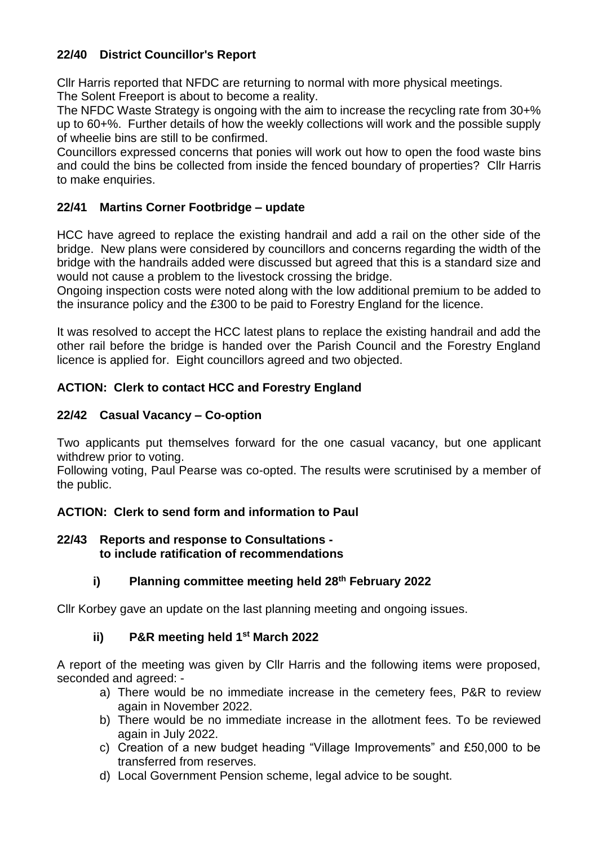## **22/40 District Councillor's Report**

Cllr Harris reported that NFDC are returning to normal with more physical meetings.

The Solent Freeport is about to become a reality.

The NFDC Waste Strategy is ongoing with the aim to increase the recycling rate from 30+% up to 60+%. Further details of how the weekly collections will work and the possible supply of wheelie bins are still to be confirmed.

Councillors expressed concerns that ponies will work out how to open the food waste bins and could the bins be collected from inside the fenced boundary of properties? Cllr Harris to make enquiries.

# **22/41 Martins Corner Footbridge – update**

HCC have agreed to replace the existing handrail and add a rail on the other side of the bridge. New plans were considered by councillors and concerns regarding the width of the bridge with the handrails added were discussed but agreed that this is a standard size and would not cause a problem to the livestock crossing the bridge.

Ongoing inspection costs were noted along with the low additional premium to be added to the insurance policy and the £300 to be paid to Forestry England for the licence.

It was resolved to accept the HCC latest plans to replace the existing handrail and add the other rail before the bridge is handed over the Parish Council and the Forestry England licence is applied for. Eight councillors agreed and two objected.

## **ACTION: Clerk to contact HCC and Forestry England**

## **22/42 Casual Vacancy – Co-option**

Two applicants put themselves forward for the one casual vacancy, but one applicant withdrew prior to voting.

Following voting, Paul Pearse was co-opted. The results were scrutinised by a member of the public.

# **ACTION: Clerk to send form and information to Paul**

### **22/43 Reports and response to Consultations to include ratification of recommendations**

# **i) Planning committee meeting held 28th February 2022**

Cllr Korbey gave an update on the last planning meeting and ongoing issues.

# **ii) P&R meeting held 1st March 2022**

A report of the meeting was given by Cllr Harris and the following items were proposed, seconded and agreed: -

- a) There would be no immediate increase in the cemetery fees, P&R to review again in November 2022.
- b) There would be no immediate increase in the allotment fees. To be reviewed again in July 2022.
- c) Creation of a new budget heading "Village Improvements" and £50,000 to be transferred from reserves.
- d) Local Government Pension scheme, legal advice to be sought.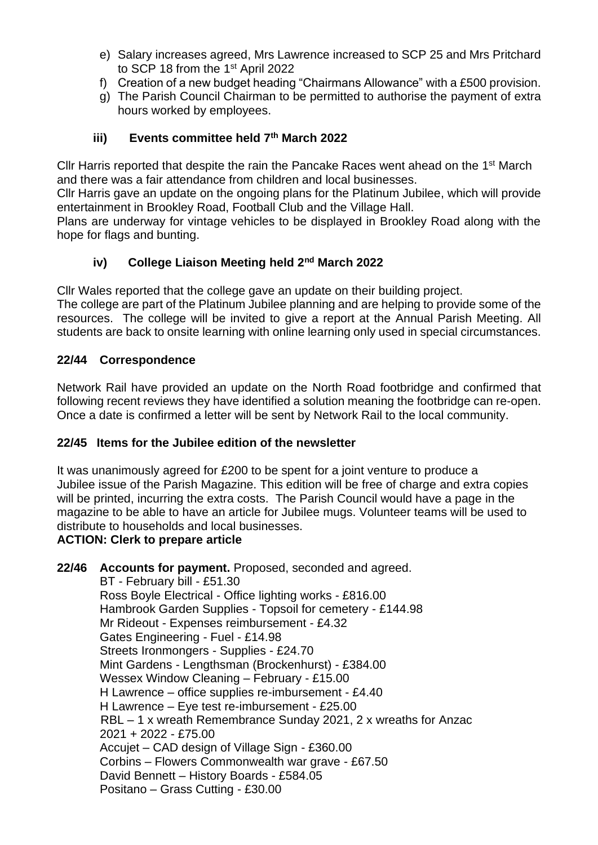- e) Salary increases agreed, Mrs Lawrence increased to SCP 25 and Mrs Pritchard to SCP 18 from the 1<sup>st</sup> April 2022
- f) Creation of a new budget heading "Chairmans Allowance" with a £500 provision.
- g) The Parish Council Chairman to be permitted to authorise the payment of extra hours worked by employees.

## **iii) Events committee held 7th March 2022**

Cllr Harris reported that despite the rain the Pancake Races went ahead on the 1<sup>st</sup> March and there was a fair attendance from children and local businesses.

Cllr Harris gave an update on the ongoing plans for the Platinum Jubilee, which will provide entertainment in Brookley Road, Football Club and the Village Hall.

Plans are underway for vintage vehicles to be displayed in Brookley Road along with the hope for flags and bunting.

## **iv) College Liaison Meeting held 2nd March 2022**

Cllr Wales reported that the college gave an update on their building project.

The college are part of the Platinum Jubilee planning and are helping to provide some of the resources. The college will be invited to give a report at the Annual Parish Meeting. All students are back to onsite learning with online learning only used in special circumstances.

## **22/44 Correspondence**

Network Rail have provided an update on the North Road footbridge and confirmed that following recent reviews they have identified a solution meaning the footbridge can re-open. Once a date is confirmed a letter will be sent by Network Rail to the local community.

## **22/45 Items for the Jubilee edition of the newsletter**

It was unanimously agreed for £200 to be spent for a joint venture to produce a Jubilee issue of the Parish Magazine. This edition will be free of charge and extra copies will be printed, incurring the extra costs. The Parish Council would have a page in the magazine to be able to have an article for Jubilee mugs. Volunteer teams will be used to distribute to households and local businesses.

## **ACTION: Clerk to prepare article**

**22/46 Accounts for payment.** Proposed, seconded and agreed. BT - February bill - £51.30 Ross Boyle Electrical - Office lighting works - £816.00 Hambrook Garden Supplies - Topsoil for cemetery - £144.98 Mr Rideout - Expenses reimbursement - £4.32 Gates Engineering - Fuel - £14.98 Streets Ironmongers - Supplies - £24.70 Mint Gardens - Lengthsman (Brockenhurst) - £384.00 Wessex Window Cleaning – February - £15.00 H Lawrence – office supplies re-imbursement - £4.40 H Lawrence – Eye test re-imbursement - £25.00 RBL – 1 x wreath Remembrance Sunday 2021, 2 x wreaths for Anzac 2021 + 2022 - £75.00 Accujet – CAD design of Village Sign - £360.00 Corbins – Flowers Commonwealth war grave - £67.50 David Bennett – History Boards - £584.05 Positano – Grass Cutting - £30.00